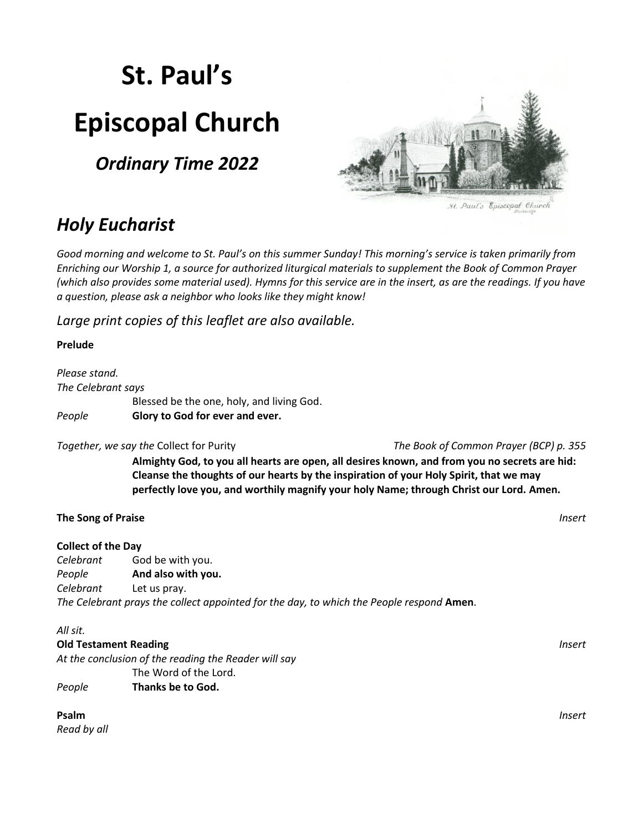# **St. Paul's Episcopal Church**

*Ordinary Time 2022*



## *Holy Eucharist*

*Good morning and welcome to St. Paul's on this summer Sunday! This morning's service is taken primarily from Enriching our Worship 1, a source for authorized liturgical materials to supplement the Book of Common Prayer (which also provides some material used). Hymns for this service are in the insert, as are the readings. If you have a question, please ask a neighbor who looks like they might know!*

*Large print copies of this leaflet are also available.*

#### **Prelude**

*Please stand. The Celebrant says* Blessed be the one, holy, and living God. *People* **Glory to God for ever and ever.**

#### *Together, we say the* Collect for Purity *The Book of Common Prayer (BCP) p. 355*

**Almighty God, to you all hearts are open, all desires known, and from you no secrets are hid: Cleanse the thoughts of our hearts by the inspiration of your Holy Spirit, that we may perfectly love you, and worthily magnify your holy Name; through Christ our Lord. Amen.**

| The Song of Praise           |                                                                                          | Insert |
|------------------------------|------------------------------------------------------------------------------------------|--------|
| <b>Collect of the Day</b>    |                                                                                          |        |
| Celebrant                    | God be with you.                                                                         |        |
| People                       | And also with you.                                                                       |        |
| Celebrant                    | Let us pray.                                                                             |        |
|                              | The Celebrant prays the collect appointed for the day, to which the People respond Amen. |        |
| All sit.                     |                                                                                          |        |
| <b>Old Testament Reading</b> |                                                                                          | Insert |
|                              |                                                                                          |        |

*At the conclusion of the reading the Reader will say* The Word of the Lord. *People* **Thanks be to God.**

#### **Psalm** *Insert*

*Read by all*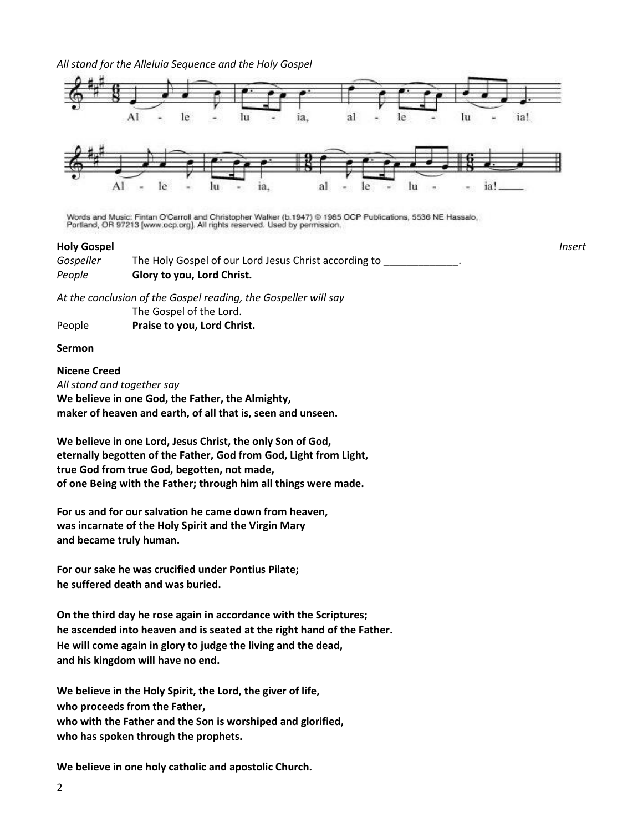*All stand for the Alleluia Sequence and the Holy Gospel*



Words and Music: Fintan O'Carroll and Christopher Walker (b.1947) @ 1985 OCP Publications, 5536 NE Hassalo, Portland, OR 97213 [www.ocp.org]. All rights reserved. Used by permission.

#### **Holy Gospel** *Insert*

Gospeller The Holy Gospel of our Lord Jesus Christ according to *People* **Glory to you, Lord Christ.**

*At the conclusion of the Gospel reading, the Gospeller will say*

The Gospel of the Lord.

People **Praise to you, Lord Christ.**

#### **Sermon**

**Nicene Creed** *All stand and together say* **We believe in one God, the Father, the Almighty, maker of heaven and earth, of all that is, seen and unseen.**

**We believe in one Lord, Jesus Christ, the only Son of God, eternally begotten of the Father, God from God, Light from Light, true God from true God, begotten, not made, of one Being with the Father; through him all things were made.**

**For us and for our salvation he came down from heaven, was incarnate of the Holy Spirit and the Virgin Mary and became truly human.**

**For our sake he was crucified under Pontius Pilate; he suffered death and was buried.**

**On the third day he rose again in accordance with the Scriptures; he ascended into heaven and is seated at the right hand of the Father. He will come again in glory to judge the living and the dead, and his kingdom will have no end.**

**We believe in the Holy Spirit, the Lord, the giver of life, who proceeds from the Father, who with the Father and the Son is worshiped and glorified, who has spoken through the prophets.**

**We believe in one holy catholic and apostolic Church.**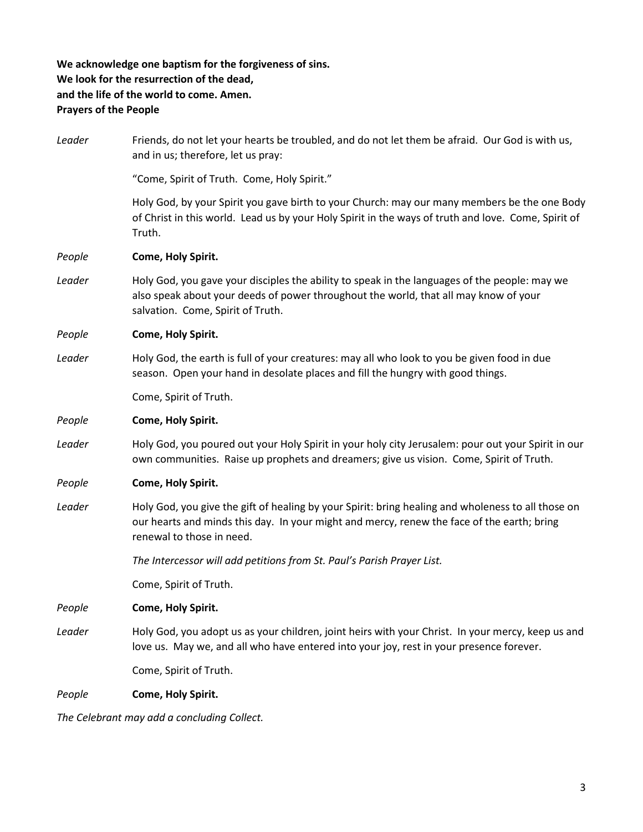### **We acknowledge one baptism for the forgiveness of sins. We look for the resurrection of the dead, and the life of the world to come. Amen. Prayers of the People**

| People | Come, Holy Spirit.                                                                                                                                                                                                            |  |
|--------|-------------------------------------------------------------------------------------------------------------------------------------------------------------------------------------------------------------------------------|--|
|        | Come, Spirit of Truth.                                                                                                                                                                                                        |  |
| Leader | Holy God, you adopt us as your children, joint heirs with your Christ. In your mercy, keep us and<br>love us. May we, and all who have entered into your joy, rest in your presence forever.                                  |  |
| People | Come, Holy Spirit.                                                                                                                                                                                                            |  |
|        | Come, Spirit of Truth.                                                                                                                                                                                                        |  |
|        | The Intercessor will add petitions from St. Paul's Parish Prayer List.                                                                                                                                                        |  |
| Leader | Holy God, you give the gift of healing by your Spirit: bring healing and wholeness to all those on<br>our hearts and minds this day. In your might and mercy, renew the face of the earth; bring<br>renewal to those in need. |  |
| People | Come, Holy Spirit.                                                                                                                                                                                                            |  |
| Leader | Holy God, you poured out your Holy Spirit in your holy city Jerusalem: pour out your Spirit in our<br>own communities. Raise up prophets and dreamers; give us vision. Come, Spirit of Truth.                                 |  |
| People | Come, Holy Spirit.                                                                                                                                                                                                            |  |
|        | Come, Spirit of Truth.                                                                                                                                                                                                        |  |
| Leader | Holy God, the earth is full of your creatures: may all who look to you be given food in due<br>season. Open your hand in desolate places and fill the hungry with good things.                                                |  |
| People | Come, Holy Spirit.                                                                                                                                                                                                            |  |
| Leader | Holy God, you gave your disciples the ability to speak in the languages of the people: may we<br>also speak about your deeds of power throughout the world, that all may know of your<br>salvation. Come, Spirit of Truth.    |  |
| People | Come, Holy Spirit.                                                                                                                                                                                                            |  |
|        | Holy God, by your Spirit you gave birth to your Church: may our many members be the one Body<br>of Christ in this world. Lead us by your Holy Spirit in the ways of truth and love. Come, Spirit of<br>Truth.                 |  |
|        | "Come, Spirit of Truth. Come, Holy Spirit."                                                                                                                                                                                   |  |
| Leader | Friends, do not let your hearts be troubled, and do not let them be afraid. Our God is with us,<br>and in us; therefore, let us pray:                                                                                         |  |

*The Celebrant may add a concluding Collect.*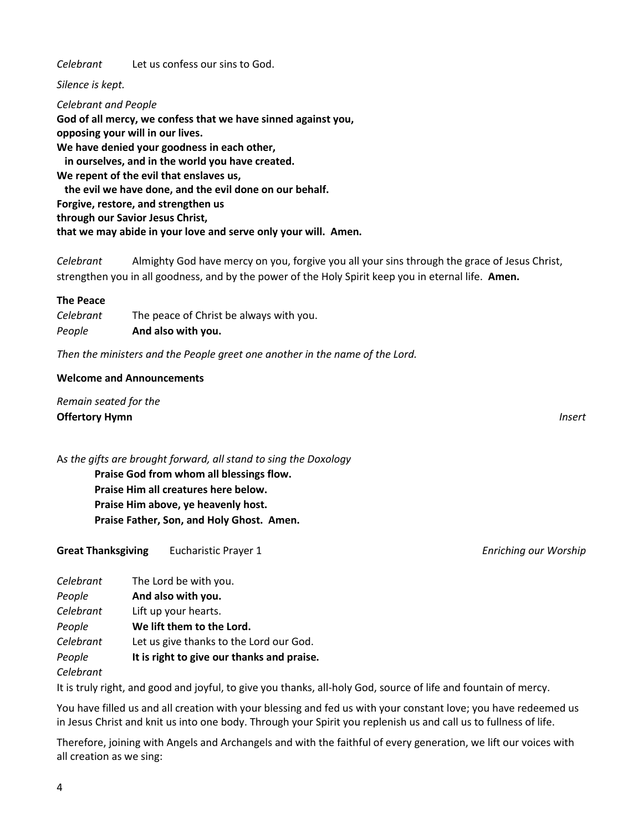*Celebrant* Let us confess our sins to God.

*Silence is kept.*

*Celebrant and People* **God of all mercy, we confess that we have sinned against you, opposing your will in our lives. We have denied your goodness in each other, in ourselves, and in the world you have created. We repent of the evil that enslaves us, the evil we have done, and the evil done on our behalf. Forgive, restore, and strengthen us through our Savior Jesus Christ, that we may abide in your love and serve only your will. Amen.**

*Celebrant* Almighty God have mercy on you, forgive you all your sins through the grace of Jesus Christ, strengthen you in all goodness, and by the power of the Holy Spirit keep you in eternal life. **Amen.**

#### **The Peace**

*Celebrant* The peace of Christ be always with you. *People* **And also with you.**

*Then the ministers and the People greet one another in the name of the Lord.*

#### **Welcome and Announcements**

*Remain seated for the* **Offertory Hymn** *Insert*

A*s the gifts are brought forward, all stand to sing the Doxology*

**Praise God from whom all blessings flow. Praise Him all creatures here below. Praise Him above, ye heavenly host. Praise Father, Son, and Holy Ghost. Amen.**

**Great Thanksgiving** Eucharistic Prayer 1 *Enriching our Worship*

| Celebrant | The Lord be with you.                      |
|-----------|--------------------------------------------|
| People    | And also with you.                         |
| Celebrant | Lift up your hearts.                       |
| People    | We lift them to the Lord.                  |
| Celebrant | Let us give thanks to the Lord our God.    |
| People    | It is right to give our thanks and praise. |
| Celebrant |                                            |

It is truly right, and good and joyful, to give you thanks, all-holy God, source of life and fountain of mercy.

You have filled us and all creation with your blessing and fed us with your constant love; you have redeemed us in Jesus Christ and knit us into one body. Through your Spirit you replenish us and call us to fullness of life.

Therefore, joining with Angels and Archangels and with the faithful of every generation, we lift our voices with all creation as we sing: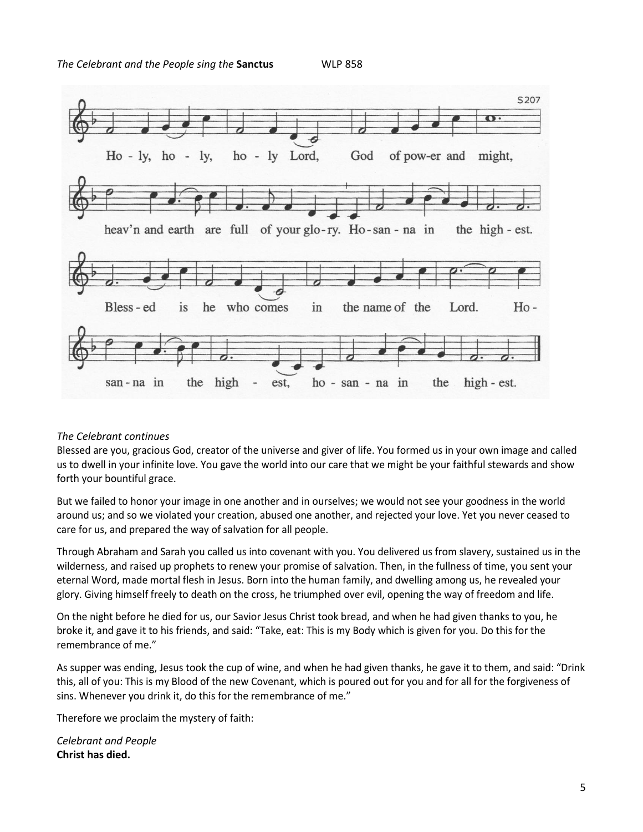

#### *The Celebrant continues*

Blessed are you, gracious God, creator of the universe and giver of life. You formed us in your own image and called us to dwell in your infinite love. You gave the world into our care that we might be your faithful stewards and show forth your bountiful grace.

But we failed to honor your image in one another and in ourselves; we would not see your goodness in the world around us; and so we violated your creation, abused one another, and rejected your love. Yet you never ceased to care for us, and prepared the way of salvation for all people.

Through Abraham and Sarah you called us into covenant with you. You delivered us from slavery, sustained us in the wilderness, and raised up prophets to renew your promise of salvation. Then, in the fullness of time, you sent your eternal Word, made mortal flesh in Jesus. Born into the human family, and dwelling among us, he revealed your glory. Giving himself freely to death on the cross, he triumphed over evil, opening the way of freedom and life.

On the night before he died for us, our Savior Jesus Christ took bread, and when he had given thanks to you, he broke it, and gave it to his friends, and said: "Take, eat: This is my Body which is given for you. Do this for the remembrance of me."

As supper was ending, Jesus took the cup of wine, and when he had given thanks, he gave it to them, and said: "Drink this, all of you: This is my Blood of the new Covenant, which is poured out for you and for all for the forgiveness of sins. Whenever you drink it, do this for the remembrance of me."

Therefore we proclaim the mystery of faith:

*Celebrant and People* **Christ has died.**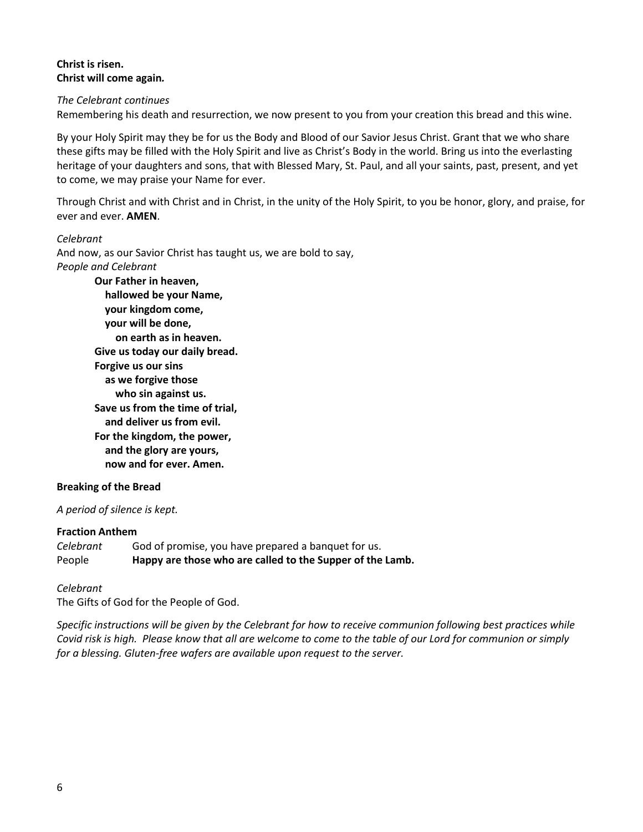#### **Christ is risen. Christ will come again***.*

#### *The Celebrant continues*

Remembering his death and resurrection, we now present to you from your creation this bread and this wine.

By your Holy Spirit may they be for us the Body and Blood of our Savior Jesus Christ. Grant that we who share these gifts may be filled with the Holy Spirit and live as Christ's Body in the world. Bring us into the everlasting heritage of your daughters and sons, that with Blessed Mary, St. Paul, and all your saints, past, present, and yet to come, we may praise your Name for ever.

Through Christ and with Christ and in Christ, in the unity of the Holy Spirit, to you be honor, glory, and praise, for ever and ever. **AMEN**.

*Celebrant* And now, as our Savior Christ has taught us, we are bold to say, *People and Celebrant* **Our Father in heaven, hallowed be your Name, your kingdom come, your will be done,** 

 **on earth as in heaven. Give us today our daily bread. Forgive us our sins as we forgive those who sin against us. Save us from the time of trial, and deliver us from evil. For the kingdom, the power, and the glory are yours, now and for ever. Amen.**

#### **Breaking of the Bread**

*A period of silence is kept.*

#### **Fraction Anthem**

*Celebrant* God of promise, you have prepared a banquet for us. People **Happy are those who are called to the Supper of the Lamb.**

#### *Celebrant*

The Gifts of God for the People of God.

*Specific instructions will be given by the Celebrant for how to receive communion following best practices while Covid risk is high. Please know that all are welcome to come to the table of our Lord for communion or simply for a blessing. Gluten-free wafers are available upon request to the server.*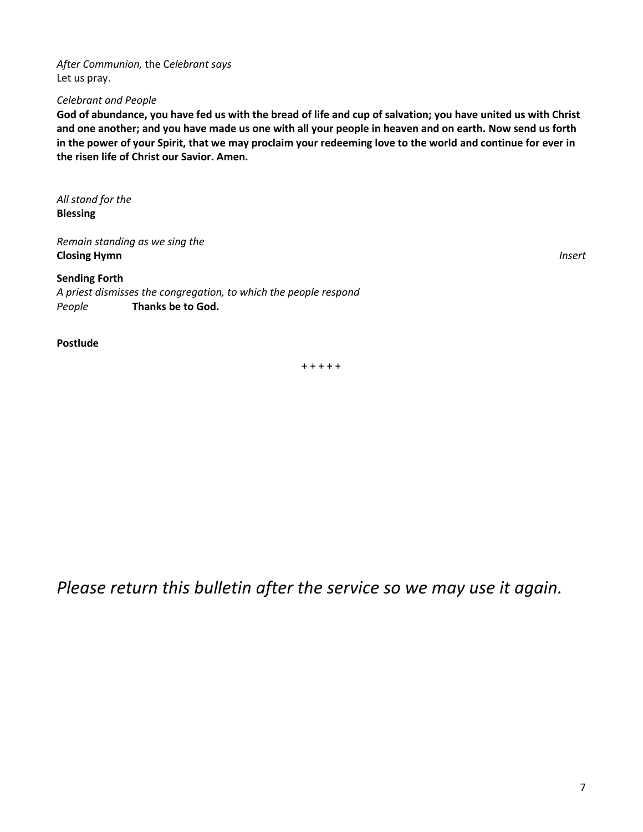*After Communion,* the C*elebrant says* Let us pray.

#### *Celebrant and People*

**God of abundance, you have fed us with the bread of life and cup of salvation; you have united us with Christ and one another; and you have made us one with all your people in heaven and on earth. Now send us forth in the power of your Spirit, that we may proclaim your redeeming love to the world and continue for ever in the risen life of Christ our Savior. Amen.**

*All stand for the*  **Blessing**

*Remain standing as we sing the* **Closing Hymn** *Insert*

#### **Sending Forth**

*A priest dismisses the congregation, to which the people respond People* **Thanks be to God.**

#### **Postlude**

+ + + + +

*Please return this bulletin after the service so we may use it again.*